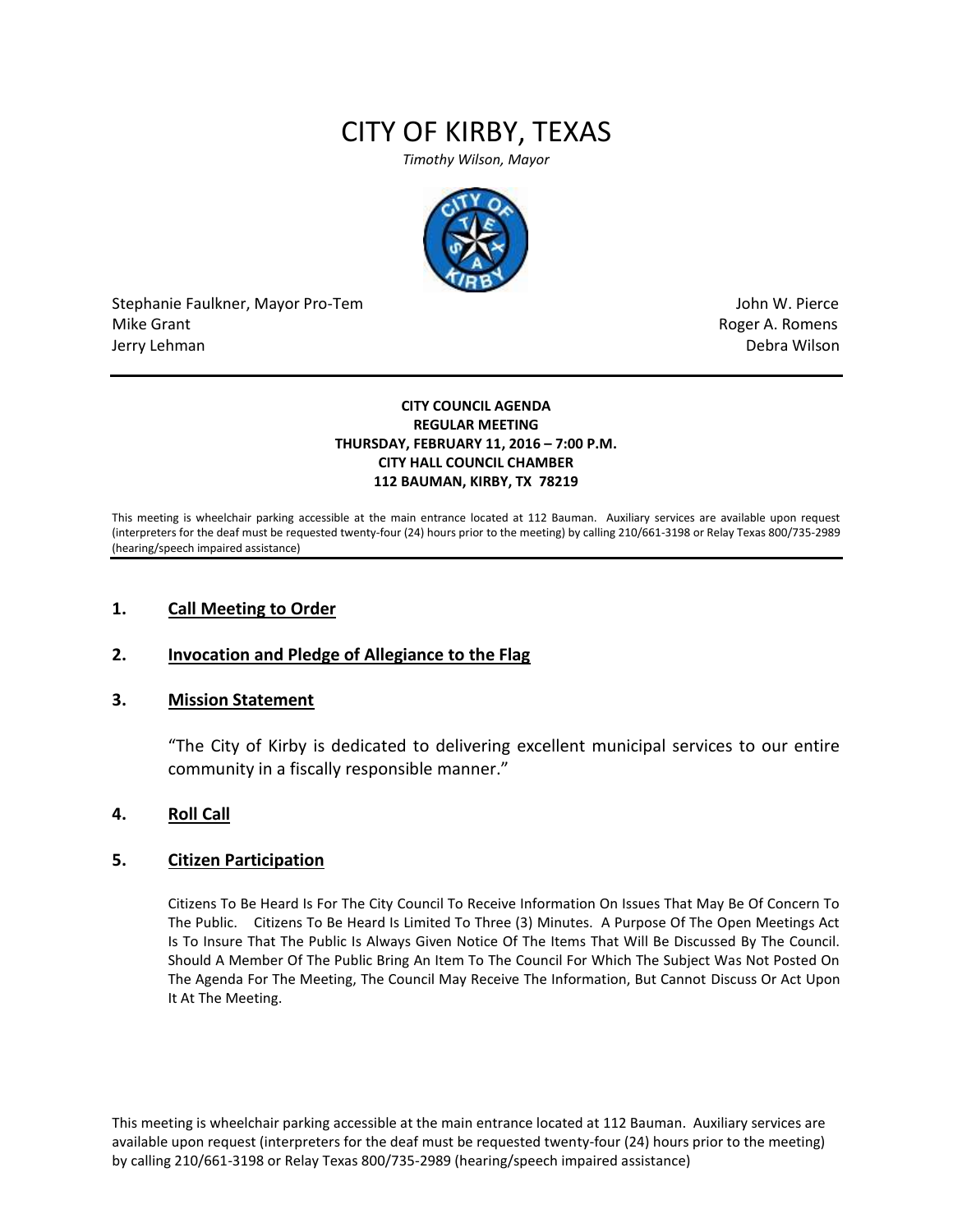# CITY OF KIRBY, TEXAS

*Timothy Wilson, Mayor*



Stephanie Faulkner, Mayor Pro-Tem John W. Pierce Mike Grant **Mike Grant** Roger A. Romens and Roger A. Romens and Roger A. Romens and Roger A. Romens and Roger A. Romens and Roger A. Romens and Roger A. Romens and Roger A. Romens and Roger A. Romens and Roger A. Romens an Jerry Lehman Debra Wilson

#### **CITY COUNCIL AGENDA REGULAR MEETING THURSDAY, FEBRUARY 11, 2016 – 7:00 P.M. CITY HALL COUNCIL CHAMBER 112 BAUMAN, KIRBY, TX 78219**

This meeting is wheelchair parking accessible at the main entrance located at 112 Bauman. Auxiliary services are available upon request (interpreters for the deaf must be requested twenty-four (24) hours prior to the meeting) by calling 210/661-3198 or Relay Texas 800/735-2989 (hearing/speech impaired assistance)

## **1. Call Meeting to Order**

## **2. Invocation and Pledge of Allegiance to the Flag**

## **3. Mission Statement**

"The City of Kirby is dedicated to delivering excellent municipal services to our entire community in a fiscally responsible manner."

## **4. Roll Call**

## **5. Citizen Participation**

Citizens To Be Heard Is For The City Council To Receive Information On Issues That May Be Of Concern To The Public. Citizens To Be Heard Is Limited To Three (3) Minutes. A Purpose Of The Open Meetings Act Is To Insure That The Public Is Always Given Notice Of The Items That Will Be Discussed By The Council. Should A Member Of The Public Bring An Item To The Council For Which The Subject Was Not Posted On The Agenda For The Meeting, The Council May Receive The Information, But Cannot Discuss Or Act Upon It At The Meeting.

This meeting is wheelchair parking accessible at the main entrance located at 112 Bauman. Auxiliary services are available upon request (interpreters for the deaf must be requested twenty-four (24) hours prior to the meeting) by calling 210/661-3198 or Relay Texas 800/735-2989 (hearing/speech impaired assistance)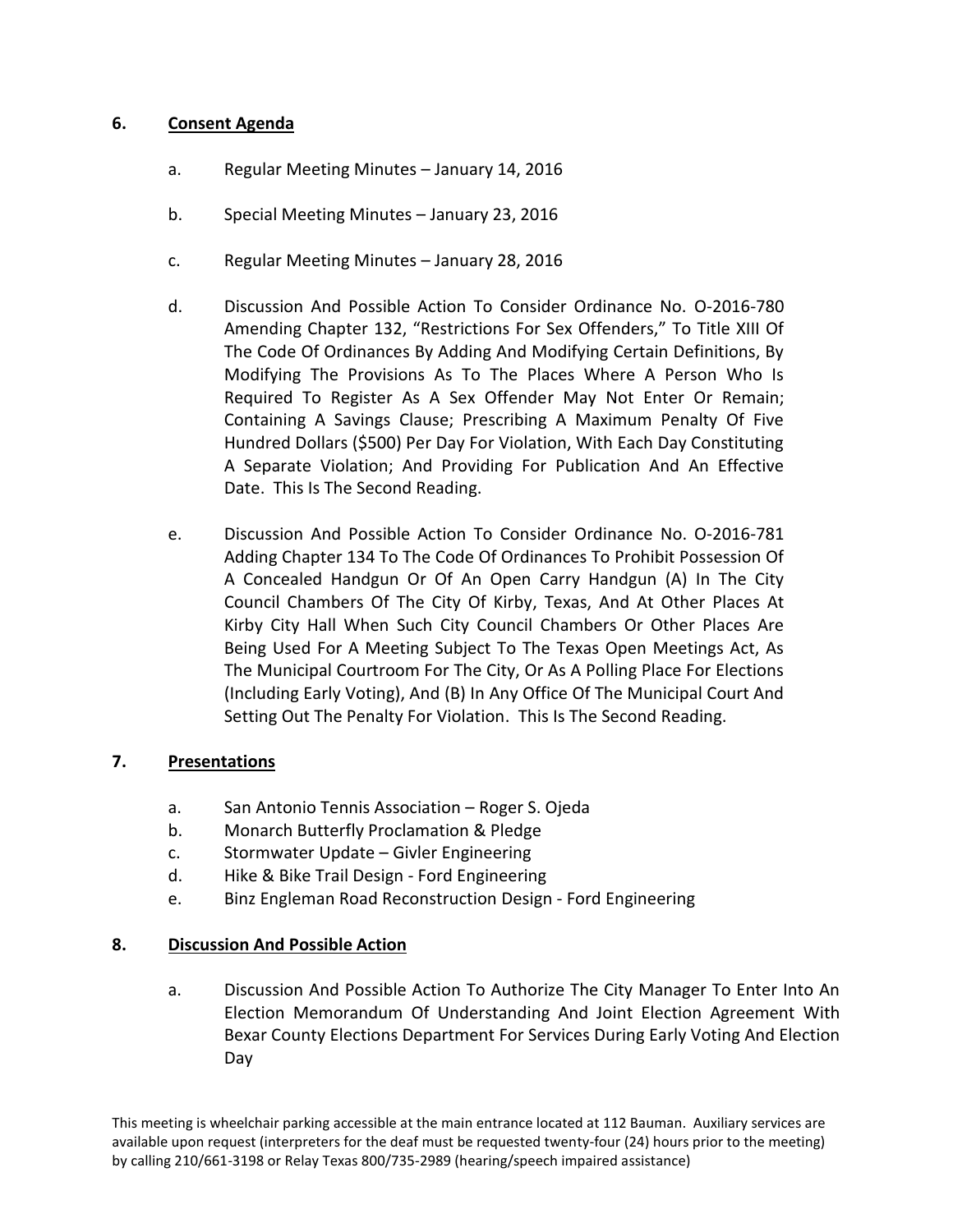# **6. Consent Agenda**

- a. Regular Meeting Minutes January 14, 2016
- b. Special Meeting Minutes January 23, 2016
- c. Regular Meeting Minutes January 28, 2016
- d. Discussion And Possible Action To Consider Ordinance No. O-2016-780 Amending Chapter 132, "Restrictions For Sex Offenders," To Title XIII Of The Code Of Ordinances By Adding And Modifying Certain Definitions, By Modifying The Provisions As To The Places Where A Person Who Is Required To Register As A Sex Offender May Not Enter Or Remain; Containing A Savings Clause; Prescribing A Maximum Penalty Of Five Hundred Dollars (\$500) Per Day For Violation, With Each Day Constituting A Separate Violation; And Providing For Publication And An Effective Date. This Is The Second Reading.
- e. Discussion And Possible Action To Consider Ordinance No. O-2016-781 Adding Chapter 134 To The Code Of Ordinances To Prohibit Possession Of A Concealed Handgun Or Of An Open Carry Handgun (A) In The City Council Chambers Of The City Of Kirby, Texas, And At Other Places At Kirby City Hall When Such City Council Chambers Or Other Places Are Being Used For A Meeting Subject To The Texas Open Meetings Act, As The Municipal Courtroom For The City, Or As A Polling Place For Elections (Including Early Voting), And (B) In Any Office Of The Municipal Court And Setting Out The Penalty For Violation. This Is The Second Reading.

## **7. Presentations**

- a. San Antonio Tennis Association Roger S. Ojeda
- b. Monarch Butterfly Proclamation & Pledge
- c. Stormwater Update Givler Engineering
- d. Hike & Bike Trail Design Ford Engineering
- e. Binz Engleman Road Reconstruction Design Ford Engineering

## **8. Discussion And Possible Action**

a. Discussion And Possible Action To Authorize The City Manager To Enter Into An Election Memorandum Of Understanding And Joint Election Agreement With Bexar County Elections Department For Services During Early Voting And Election Day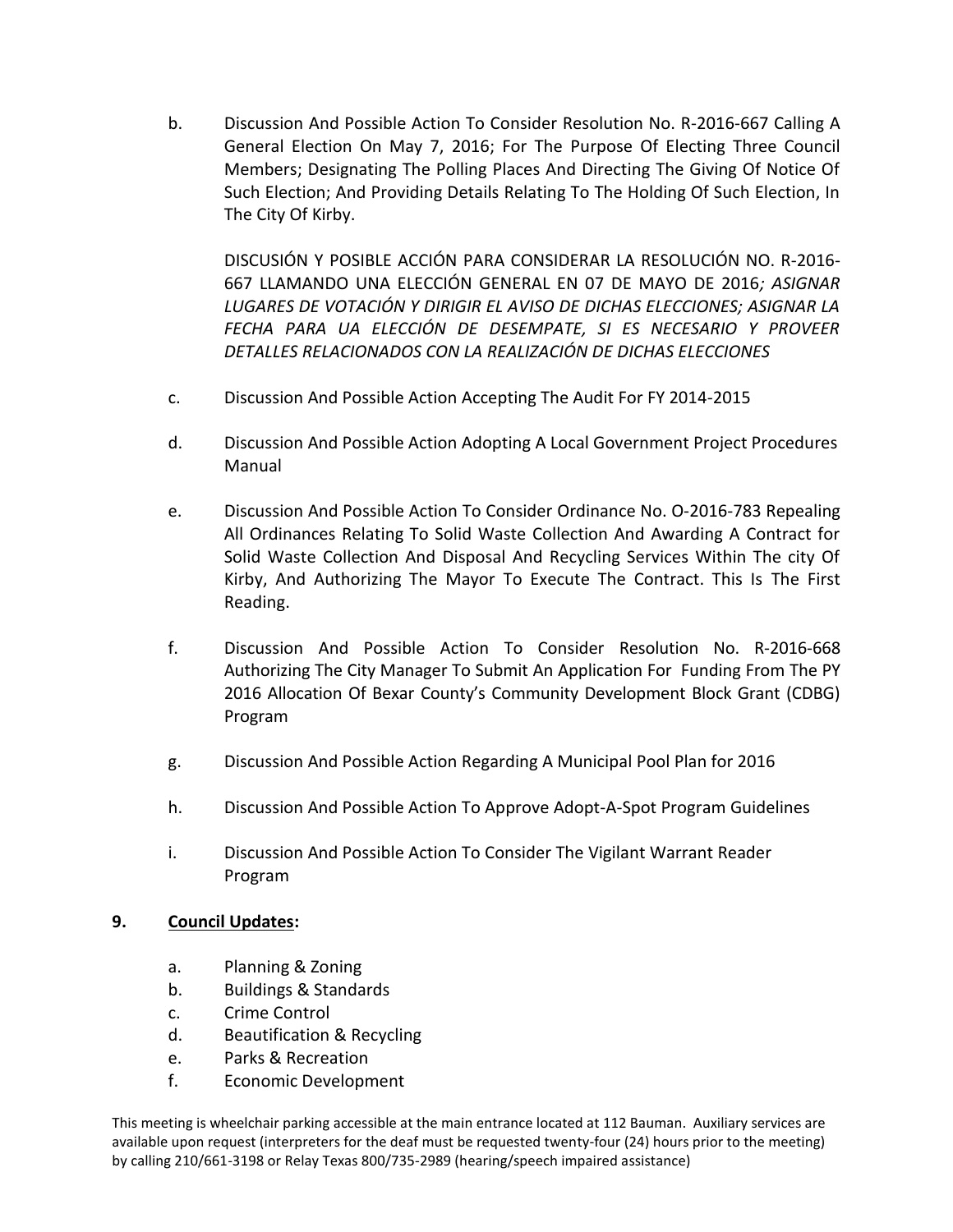b. Discussion And Possible Action To Consider Resolution No. R-2016-667 Calling A General Election On May 7, 2016; For The Purpose Of Electing Three Council Members; Designating The Polling Places And Directing The Giving Of Notice Of Such Election; And Providing Details Relating To The Holding Of Such Election, In The City Of Kirby.

DISCUSIÓN Y POSIBLE ACCIÓN PARA CONSIDERAR LA RESOLUCIÓN NO. R-2016- 667 LLAMANDO UNA ELECCIÓN GENERAL EN 07 DE MAYO DE 2016*; ASIGNAR LUGARES DE VOTACIÓN Y DIRIGIR EL AVISO DE DICHAS ELECCIONES; ASIGNAR LA FECHA PARA UA ELECCIÓN DE DESEMPATE, SI ES NECESARIO Y PROVEER DETALLES RELACIONADOS CON LA REALIZACIÓN DE DICHAS ELECCIONES*

- c. Discussion And Possible Action Accepting The Audit For FY 2014-2015
- d. Discussion And Possible Action Adopting A Local Government Project Procedures Manual
- e. Discussion And Possible Action To Consider Ordinance No. O-2016-783 Repealing All Ordinances Relating To Solid Waste Collection And Awarding A Contract for Solid Waste Collection And Disposal And Recycling Services Within The city Of Kirby, And Authorizing The Mayor To Execute The Contract. This Is The First Reading.
- f. Discussion And Possible Action To Consider Resolution No. R-2016-668 Authorizing The City Manager To Submit An Application For Funding From The PY 2016 Allocation Of Bexar County's Community Development Block Grant (CDBG) Program
- g. Discussion And Possible Action Regarding A Municipal Pool Plan for 2016
- h. Discussion And Possible Action To Approve Adopt-A-Spot Program Guidelines
- i. Discussion And Possible Action To Consider The Vigilant Warrant Reader Program

## **9. Council Updates:**

- a. Planning & Zoning
- b. Buildings & Standards
- c. Crime Control
- d. Beautification & Recycling
- e. Parks & Recreation
- f. Economic Development

This meeting is wheelchair parking accessible at the main entrance located at 112 Bauman. Auxiliary services are available upon request (interpreters for the deaf must be requested twenty-four (24) hours prior to the meeting) by calling 210/661-3198 or Relay Texas 800/735-2989 (hearing/speech impaired assistance)